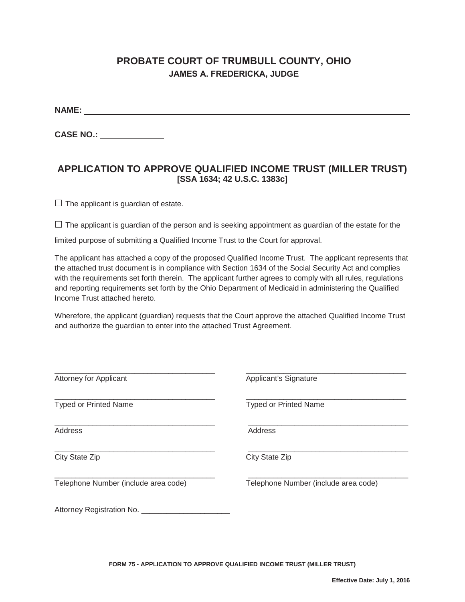## **PROBATE COURT OF TRUMBULL COUNTY, OHIO JAMES A. FREDERICKA, JUDGE**

**NAME:** 

**CASE NO.:** 

## **APPLICATION TO APPROVE QUALIFIED INCOME TRUST (MILLER TRUST) [SSA 1634; 42 U.S.C. 1383c]**

 $\Box$  The applicant is guardian of estate.

 $\Box$  The applicant is guardian of the person and is seeking appointment as guardian of the estate for the

limited purpose of submitting a Qualified Income Trust to the Court for approval.

The applicant has attached a copy of the proposed Qualified Income Trust. The applicant represents that the attached trust document is in compliance with Section 1634 of the Social Security Act and complies with the requirements set forth therein. The applicant further agrees to comply with all rules, regulations and reporting requirements set forth by the Ohio Department of Medicaid in administering the Qualified Income Trust attached hereto.

Wherefore, the applicant (guardian) requests that the Court approve the attached Qualified Income Trust and authorize the guardian to enter into the attached Trust Agreement.

| <b>Attorney for Applicant</b>        | Applicant's Signature                |
|--------------------------------------|--------------------------------------|
| <b>Typed or Printed Name</b>         | <b>Typed or Printed Name</b>         |
| Address                              | Address                              |
| City State Zip                       | City State Zip                       |
| Telephone Number (include area code) | Telephone Number (include area code) |
| Attorney Registration No.            |                                      |